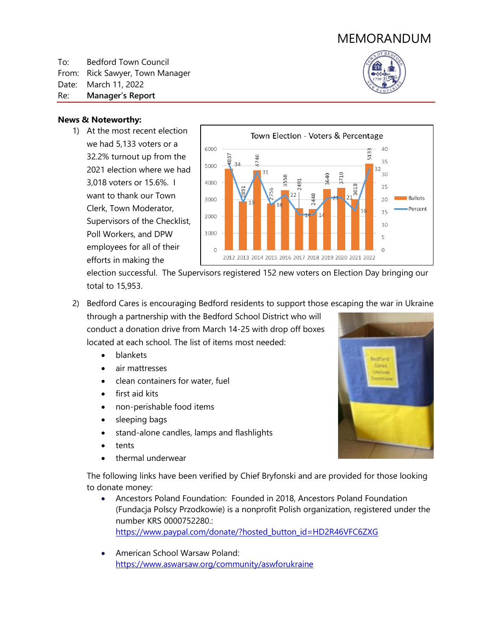# MEMORANDUM

To: Bedford Town Council From: Rick Sawyer, Town Manager

Date: March 11, 2022

Re: **Manager's Report**

# **News & Noteworthy:**

1) At the most recent election we had 5,133 voters or a 32.2% turnout up from the 2021 election where we had 3,018 voters or 15.6%. I want to thank our Town Clerk, Town Moderator, Supervisors of the Checklist, Poll Workers, and DPW employees for all of their efforts in making the



election successful. The Supervisors registered 152 new voters on Election Day bringing our total to 15,953.

- 2) Bedford Cares is encouraging Bedford residents to support those escaping the war in Ukraine through a partnership with the Bedford School District who will conduct a donation drive from March 14-25 with drop off boxes located at each school. The list of items most needed:
	- blankets
	- air mattresses
	- clean containers for water, fuel
	- first aid kits
	- non-perishable food items
	- sleeping bags
	- stand-alone candles, lamps and flashlights
	- tents
	- thermal underwear

The following links have been verified by Chief Bryfonski and are provided for those looking to donate money:

- Ancestors Poland Foundation: Founded in 2018, Ancestors Poland Foundation (Fundacja Polscy Przodkowie) is a nonprofit Polish organization, registered under the number KRS 0000752280.: [https://www.paypal.com/donate/?hosted\\_button\\_id=HD2R46VFC6ZXG](https://www.paypal.com/donate/?hosted_button_id=HD2R46VFC6ZXG)
- American School Warsaw Poland: <https://www.aswarsaw.org/community/aswforukraine>

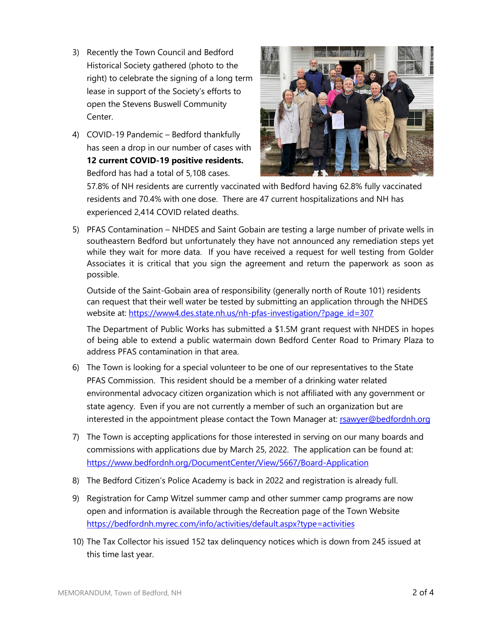- 3) Recently the Town Council and Bedford Historical Society gathered (photo to the right) to celebrate the signing of a long term lease in support of the Society's efforts to open the Stevens Buswell Community Center.
- 4) COVID-19 Pandemic Bedford thankfully has seen a drop in our number of cases with **12 current COVID-19 positive residents.**  Bedford has had a total of 5,108 cases.



57.8% of NH residents are currently vaccinated with Bedford having 62.8% fully vaccinated residents and 70.4% with one dose. There are 47 current hospitalizations and NH has experienced 2,414 COVID related deaths.

5) PFAS Contamination – NHDES and Saint Gobain are testing a large number of private wells in southeastern Bedford but unfortunately they have not announced any remediation steps yet while they wait for more data. If you have received a request for well testing from Golder Associates it is critical that you sign the agreement and return the paperwork as soon as possible.

Outside of the Saint-Gobain area of responsibility (generally north of Route 101) residents can request that their well water be tested by submitting an application through the NHDES website at: [https://www4.des.state.nh.us/nh-pfas-investigation/?page\\_id=307](https://www4.des.state.nh.us/nh-pfas-investigation/?page_id=307)

The Department of Public Works has submitted a \$1.5M grant request with NHDES in hopes of being able to extend a public watermain down Bedford Center Road to Primary Plaza to address PFAS contamination in that area.

- 6) The Town is looking for a special volunteer to be one of our representatives to the State PFAS Commission. This resident should be a member of a drinking water related environmental advocacy citizen organization which is not affiliated with any government or state agency. Even if you are not currently a member of such an organization but are interested in the appointment please contact the Town Manager at: reawyer@bedfordnh.org
- 7) The Town is accepting applications for those interested in serving on our many boards and commissions with applications due by March 25, 2022. The application can be found at: <https://www.bedfordnh.org/DocumentCenter/View/5667/Board-Application>
- 8) The Bedford Citizen's Police Academy is back in 2022 and registration is already full.
- 9) Registration for Camp Witzel summer camp and other summer camp programs are now open and information is available through the Recreation page of the Town Website <https://bedfordnh.myrec.com/info/activities/default.aspx?type=activities>
- 10) The Tax Collector his issued 152 tax delinquency notices which is down from 245 issued at this time last year.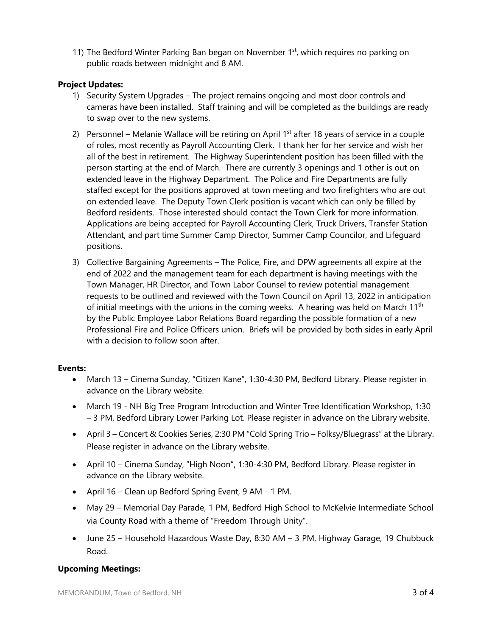11) The Bedford Winter Parking Ban began on November 1<sup>st</sup>, which requires no parking on public roads between midnight and 8 AM.

### **Project Updates:**

- 1) Security System Upgrades The project remains ongoing and most door controls and cameras have been installed. Staff training and will be completed as the buildings are ready to swap over to the new systems.
- 2) Personnel Melanie Wallace will be retiring on April  $1<sup>st</sup>$  after 18 years of service in a couple of roles, most recently as Payroll Accounting Clerk. I thank her for her service and wish her all of the best in retirement. The Highway Superintendent position has been filled with the person starting at the end of March. There are currently 3 openings and 1 other is out on extended leave in the Highway Department. The Police and Fire Departments are fully staffed except for the positions approved at town meeting and two firefighters who are out on extended leave. The Deputy Town Clerk position is vacant which can only be filled by Bedford residents. Those interested should contact the Town Clerk for more information. Applications are being accepted for Payroll Accounting Clerk, Truck Drivers, Transfer Station Attendant, and part time Summer Camp Director, Summer Camp Councilor, and Lifeguard positions.
- 3) Collective Bargaining Agreements The Police, Fire, and DPW agreements all expire at the end of 2022 and the management team for each department is having meetings with the Town Manager, HR Director, and Town Labor Counsel to review potential management requests to be outlined and reviewed with the Town Council on April 13, 2022 in anticipation of initial meetings with the unions in the coming weeks. A hearing was held on March  $11<sup>th</sup>$ by the Public Employee Labor Relations Board regarding the possible formation of a new Professional Fire and Police Officers union. Briefs will be provided by both sides in early April with a decision to follow soon after.

#### **Events:**

- March 13 Cinema Sunday, "Citizen Kane", 1:30-4:30 PM, Bedford Library. Please register in advance on the Library website.
- March 19 NH Big Tree Program Introduction and Winter Tree Identification Workshop, 1:30 – 3 PM, Bedford Library Lower Parking Lot. Please register in advance on the Library website.
- April 3 Concert & Cookies Series, 2:30 PM "Cold Spring Trio Folksy/Bluegrass" at the Library. Please register in advance on the Library website.
- April 10 Cinema Sunday, "High Noon", 1:30-4:30 PM, Bedford Library. Please register in advance on the Library website.
- April 16 Clean up Bedford Spring Event, 9 AM 1 PM.
- May 29 Memorial Day Parade, 1 PM, Bedford High School to McKelvie Intermediate School via County Road with a theme of "Freedom Through Unity".
- June 25 Household Hazardous Waste Day, 8:30 AM 3 PM, Highway Garage, 19 Chubbuck Road.

# **Upcoming Meetings:**